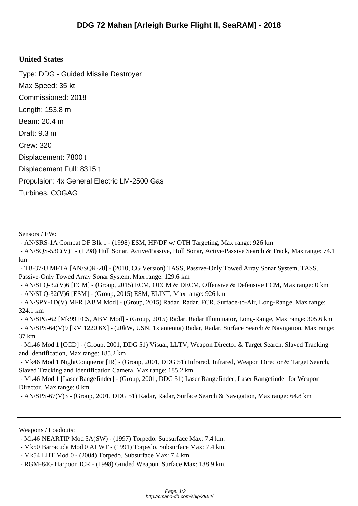## **United States**

Type: DDG - Guided Missile Destroyer Max Speed: 35 kt Commissioned: 2018 Length: 153.8 m Beam: 20.4 m Draft: 9.3 m Crew: 320 Displacement: 7800 t Displacement Full: 8315 t Propulsion: 4x General Electric LM-2500 Gas Turbines, COGAG

Sensors / EW:

- AN/SRS-1A Combat DF Blk 1 - (1998) ESM, HF/DF w/ OTH Targeting, Max range: 926 km

 - AN/SQS-53C(V)1 - (1998) Hull Sonar, Active/Passive, Hull Sonar, Active/Passive Search & Track, Max range: 74.1 km

 - TB-37/U MFTA [AN/SQR-20] - (2010, CG Version) TASS, Passive-Only Towed Array Sonar System, TASS, Passive-Only Towed Array Sonar System, Max range: 129.6 km

 - AN/SLQ-32(V)6 [ECM] - (Group, 2015) ECM, OECM & DECM, Offensive & Defensive ECM, Max range: 0 km - AN/SLQ-32(V)6 [ESM] - (Group, 2015) ESM, ELINT, Max range: 926 km

 - AN/SPY-1D(V) MFR [ABM Mod] - (Group, 2015) Radar, Radar, FCR, Surface-to-Air, Long-Range, Max range: 324.1 km

 - AN/SPG-62 [Mk99 FCS, ABM Mod] - (Group, 2015) Radar, Radar Illuminator, Long-Range, Max range: 305.6 km - AN/SPS-64(V)9 [RM 1220 6X] - (20kW, USN, 1x antenna) Radar, Radar, Surface Search & Navigation, Max range: 37 km

 - Mk46 Mod 1 [CCD] - (Group, 2001, DDG 51) Visual, LLTV, Weapon Director & Target Search, Slaved Tracking and Identification, Max range: 185.2 km

 - Mk46 Mod 1 NightConqueror [IR] - (Group, 2001, DDG 51) Infrared, Infrared, Weapon Director & Target Search, Slaved Tracking and Identification Camera, Max range: 185.2 km

 - Mk46 Mod 1 [Laser Rangefinder] - (Group, 2001, DDG 51) Laser Rangefinder, Laser Rangefinder for Weapon Director, Max range: 0 km

- AN/SPS-67(V)3 - (Group, 2001, DDG 51) Radar, Radar, Surface Search & Navigation, Max range: 64.8 km

Weapons / Loadouts:

 <sup>-</sup> Mk46 NEARTIP Mod 5A(SW) - (1997) Torpedo. Subsurface Max: 7.4 km.

 <sup>-</sup> Mk50 Barracuda Mod 0 ALWT - (1991) Torpedo. Subsurface Max: 7.4 km.

 <sup>-</sup> Mk54 LHT Mod 0 - (2004) Torpedo. Subsurface Max: 7.4 km.

 <sup>-</sup> RGM-84G Harpoon ICR - (1998) Guided Weapon. Surface Max: 138.9 km.